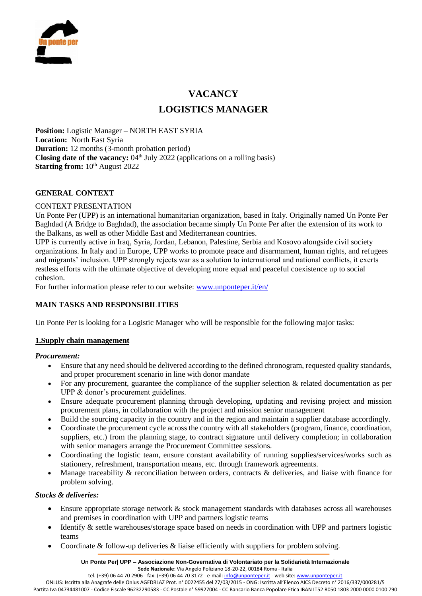

# **VACANCY LOGISTICS MANAGER**

**Position:** Logistic Manager – NORTH EAST SYRIA **Location:** North East Syria **Duration:** 12 months (3-month probation period) **Closing date of the vacancy:**  $04<sup>th</sup>$  July 2022 (applications on a rolling basis) **Starting from:**  $10^{th}$  August 2022

# **GENERAL CONTEXT**

## CONTEXT PRESENTATION

Un Ponte Per (UPP) is an international humanitarian organization, based in Italy. Originally named Un Ponte Per Baghdad (A Bridge to Baghdad), the association became simply Un Ponte Per after the extension of its work to the Balkans, as well as other Middle East and Mediterranean countries.

UPP is currently active in Iraq, Syria, Jordan, Lebanon, Palestine, Serbia and Kosovo alongside civil society organizations. In Italy and in Europe, UPP works to promote peace and disarmament, human rights, and refugees and migrants' inclusion. UPP strongly rejects war as a solution to international and national conflicts, it exerts restless efforts with the ultimate objective of developing more equal and peaceful coexistence up to social cohesion.

For further information please refer to our website: [www.unponteper.it/en/](http://www.unponteper.it/en/)

# **MAIN TASKS AND RESPONSIBILITIES**

Un Ponte Per is looking for a Logistic Manager who will be responsible for the following major tasks:

#### **1.Supply chain management**

#### *Procurement:*

- Ensure that any need should be delivered according to the defined chronogram, requested quality standards, and proper procurement scenario in line with donor mandate
- For any procurement, guarantee the compliance of the supplier selection & related documentation as per UPP & donor's procurement guidelines.
- Ensure adequate procurement planning through developing, updating and revising project and mission procurement plans, in collaboration with the project and mission senior management
- Build the sourcing capacity in the country and in the region and maintain a supplier database accordingly.
- Coordinate the procurement cycle across the country with all stakeholders (program, finance, coordination, suppliers, etc.) from the planning stage, to contract signature until delivery completion; in collaboration with senior managers arrange the Procurement Committee sessions.
- Coordinating the logistic team, ensure constant availability of running supplies/services/works such as stationery, refreshment, transportation means, etc. through framework agreements.
- Manage traceability & reconciliation between orders, contracts & deliveries, and liaise with finance for problem solving.

#### *Stocks & deliveries:*

- Ensure appropriate storage network & stock management standards with databases across all warehouses and premises in coordination with UPP and partners logistic teams
- Identify & settle warehouses/storage space based on needs in coordination with UPP and partners logistic teams
- Coordinate & follow-up deliveries & liaise efficiently with suppliers for problem solving.

**Un Ponte Per| UPP – Associazione Non-Governativa di Volontariato per la Solidarietà Internazionale Sede Nazionale**: Via Angelo Poliziano 18-20-22, 00184 Roma - Italia

tel. (+39) 06 44 70 2906 - fax: (+39) 06 44 70 3172 - e-mail[: info@unponteper.it](mailto:info@unponteper.it) - web site[: www.unponteper.it](http://www.unponteper.it/)

ONLUS: Iscritta alla Anagrafe delle Onlus AGEDRLAZ Prot. n° 0022455 del 27/03/2015 - ONG: Iscritta all'Elenco AICS Decreto n° 2016/337/000281/5 Partita Iva 04734481007 - Codice Fiscale 96232290583 - CC Postale n° 59927004 - CC Bancario Banca Popolare Etica IBAN IT52 R050 1803 2000 0000 0100 790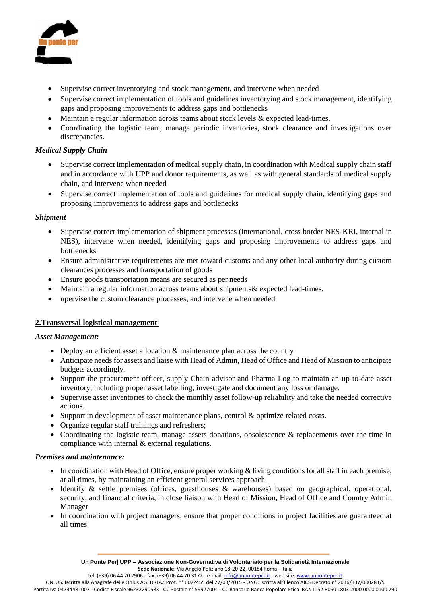

- Supervise correct inventorying and stock management, and intervene when needed
- Supervise correct implementation of tools and guidelines inventorying and stock management, identifying gaps and proposing improvements to address gaps and bottlenecks
- Maintain a regular information across teams about stock levels & expected lead-times.
- Coordinating the logistic team, manage periodic inventories, stock clearance and investigations over discrepancies.

# *Medical Supply Chain*

- Supervise correct implementation of medical supply chain, in coordination with Medical supply chain staff and in accordance with UPP and donor requirements, as well as with general standards of medical supply chain, and intervene when needed
- Supervise correct implementation of tools and guidelines for medical supply chain, identifying gaps and proposing improvements to address gaps and bottlenecks

## *Shipment*

- Supervise correct implementation of shipment processes (international, cross border NES-KRI, internal in NES), intervene when needed, identifying gaps and proposing improvements to address gaps and bottlenecks
- Ensure administrative requirements are met toward customs and any other local authority during custom clearances processes and transportation of goods
- Ensure goods transportation means are secured as per needs
- Maintain a regular information across teams about shipments& expected lead-times.
- upervise the custom clearance processes, and intervene when needed

# **2.Transversal logistical management**

#### *Asset Management:*

- Deploy an efficient asset allocation & maintenance plan across the country
- Anticipate needs for assets and liaise with Head of Admin, Head of Office and Head of Mission to anticipate budgets accordingly.
- Support the procurement officer, supply Chain advisor and Pharma Log to maintain an up-to-date asset inventory, including proper asset labelling; investigate and document any loss or damage.
- Supervise asset inventories to check the monthly asset follow-up reliability and take the needed corrective actions.
- Support in development of asset maintenance plans, control & optimize related costs.
- Organize regular staff trainings and refreshers;
- Coordinating the logistic team, manage assets donations, obsolescence & replacements over the time in compliance with internal & external regulations.

#### *Premises and maintenance:*

- In coordination with Head of Office, ensure proper working & living conditions for all staff in each premise, at all times, by maintaining an efficient general services approach
- Identify & settle premises (offices, guesthouses & warehouses) based on geographical, operational, security, and financial criteria, in close liaison with Head of Mission, Head of Office and Country Admin Manager
- In coordination with project managers, ensure that proper conditions in project facilities are guaranteed at all times

tel. (+39) 06 44 70 2906 - fax: (+39) 06 44 70 3172 - e-mail[: info@unponteper.it](mailto:info@unponteper.it) - web site[: www.unponteper.it](http://www.unponteper.it/)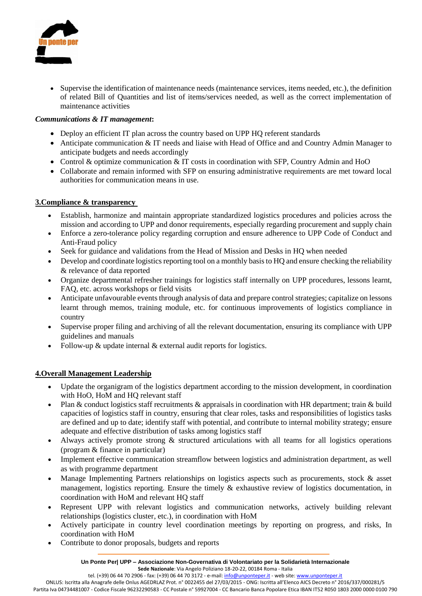

 Supervise the identification of maintenance needs (maintenance services, items needed, etc.), the definition of related Bill of Quantities and list of items/services needed, as well as the correct implementation of maintenance activities

# *Communications & IT management***:**

- Deploy an efficient IT plan across the country based on UPP HQ referent standards
- Anticipate communication & IT needs and liaise with Head of Office and and Country Admin Manager to anticipate budgets and needs accordingly
- Control & optimize communication & IT costs in coordination with SFP, Country Admin and HoO
- Collaborate and remain informed with SFP on ensuring administrative requirements are met toward local authorities for communication means in use.

## **3.Compliance & transparency**

- Establish, harmonize and maintain appropriate standardized logistics procedures and policies across the mission and according to UPP and donor requirements, especially regarding procurement and supply chain
- Enforce a zero-tolerance policy regarding corruption and ensure adherence to UPP Code of Conduct and Anti-Fraud policy
- Seek for guidance and validations from the Head of Mission and Desks in HQ when needed
- Develop and coordinate logistics reporting tool on a monthly basis to HQ and ensure checking the reliability & relevance of data reported
- Organize departmental refresher trainings for logistics staff internally on UPP procedures, lessons learnt, FAQ, etc. across workshops or field visits
- Anticipate unfavourable events through analysis of data and prepare control strategies; capitalize on lessons learnt through memos, training module, etc. for continuous improvements of logistics compliance in country
- Supervise proper filing and archiving of all the relevant documentation, ensuring its compliance with UPP guidelines and manuals
- Follow-up & update internal & external audit reports for logistics.

# **4.Overall Management Leadership**

- Update the organigram of the logistics department according to the mission development, in coordination with HoO, HoM and HQ relevant staff
- Plan & conduct logistics staff recruitments & appraisals in coordination with HR department; train & build capacities of logistics staff in country, ensuring that clear roles, tasks and responsibilities of logistics tasks are defined and up to date; identify staff with potential, and contribute to internal mobility strategy; ensure adequate and effective distribution of tasks among logistics staff
- Always actively promote strong & structured articulations with all teams for all logistics operations (program & finance in particular)
- Implement effective communication streamflow between logistics and administration department, as well as with programme department
- Manage Implementing Partners relationships on logistics aspects such as procurements, stock & asset management, logistics reporting. Ensure the timely  $\&$  exhaustive review of logistics documentation, in coordination with HoM and relevant HQ staff
- Represent UPP with relevant logistics and communication networks, actively building relevant relationships (logistics cluster, etc.), in coordination with HoM
- Actively participate in country level coordination meetings by reporting on progress, and risks, In coordination with HoM
- Contribute to donor proposals, budgets and reports

**Un Ponte Per| UPP – Associazione Non-Governativa di Volontariato per la Solidarietà Internazionale Sede Nazionale**: Via Angelo Poliziano 18-20-22, 00184 Roma - Italia

tel. (+39) 06 44 70 2906 - fax: (+39) 06 44 70 3172 - e-mail[: info@unponteper.it](mailto:info@unponteper.it) - web site[: www.unponteper.it](http://www.unponteper.it/)

ONLUS: Iscritta alla Anagrafe delle Onlus AGEDRLAZ Prot. n° 0022455 del 27/03/2015 - ONG: Iscritta all'Elenco AICS Decreto n° 2016/337/000281/5 Partita Iva 04734481007 - Codice Fiscale 96232290583 - CC Postale n° 59927004 - CC Bancario Banca Popolare Etica IBAN IT52 R050 1803 2000 0000 0100 790